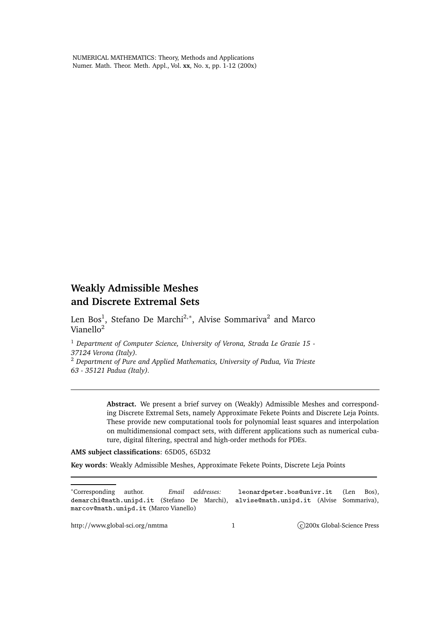NUMERICAL MATHEMATICS: Theory, Methods and Applications Numer. Math. Theor. Meth. Appl., Vol. **xx**, No. x, pp. 1-12 (200x)

# **Weakly Admissible Meshes and Discrete Extremal Sets**

Len Bos<sup>1</sup>, Stefano De Marchi<sup>2,</sup>\*, Alvise Sommariva<sup>2</sup> and Marco Vianello<sup>2</sup>

<sup>1</sup> *Department of Computer Science, University of Verona, Strada Le Grazie 15 - 37124 Verona (Italy).*

<sup>2</sup> *Department of Pure and Applied Mathematics, University of Padua, Via Trieste 63 - 35121 Padua (Italy).*

> **Abstract.** We present a brief survey on (Weakly) Admissible Meshes and corresponding Discrete Extremal Sets, namely Approximate Fekete Points and Discrete Leja Points. These provide new computational tools for polynomial least squares and interpolation on multidimensional compact sets, with different applications such as numerical cubature, digital filtering, spectral and high-order methods for PDEs.

#### **AMS subject classifications**: 65D05, 65D32

**Key words**: Weakly Admissible Meshes, Approximate Fekete Points, Discrete Leja Points

<sup>∗</sup>Corresponding author. *Email addresses:* leonardpeter.bosunivr.it (Len Bos), demar
himath.unipd.it (Stefano De Marchi), alvisemath.unipd.it (Alvise Sommariva), marcov@math.unipd.it (Marco Vianello)

http://www.global-sci.org/nmtma 1 1 C)200x Global-Science Press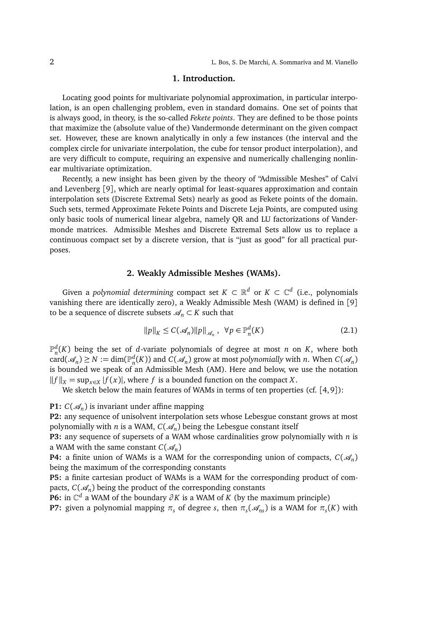### **1. Introduction.**

Locating good points for multivariate polynomial approximation, in particular interpolation, is an open challenging problem, even in standard domains. One set of points that is always good, in theory, is the so-called *Fekete points*. They are defined to be those points that maximize the (absolute value of the) Vandermonde determinant on the given compact set. However, these are known analytically in only a few instances (the interval and the complex circle for univariate interpolation, the cube for tensor product interpolation), and are very difficult to compute, requiring an expensive and numerically challenging nonlinear multivariate optimization.

Recently, a new insight has been given by the theory of "Admissible Meshes" of Calvi and Levenberg [9], which are nearly optimal for least-squares approximation and contain interpolation sets (Discrete Extremal Sets) nearly as good as Fekete points of the domain. Such sets, termed Approximate Fekete Points and Discrete Leja Points, are computed using only basic tools of numerical linear algebra, namely QR and LU factorizations of Vandermonde matrices. Admissible Meshes and Discrete Extremal Sets allow us to replace a continuous compact set by a discrete version, that is "just as good" for all practical purposes.

#### **2. Weakly Admissible Meshes (WAMs).**

Given a *polynomial determining* compact set  $K \subset \mathbb{R}^d$  or  $K \subset \mathbb{C}^d$  (i.e., polynomials vanishing there are identically zero), a Weakly Admissible Mesh (WAM) is defined in [9] to be a sequence of discrete subsets  $\mathcal{A}_n \subset K$  such that

$$
||p||_{K} \le C(\mathcal{A}_{n})||p||_{\mathcal{A}_{n}}, \ \ \forall p \in \mathbb{P}_{n}^{d}(K)
$$
\n(2.1)

 $\mathbb{P}_n^d(K)$  being the set of *d*-variate polynomials of degree at most *n* on *K*, where both  $card(\mathcal{A}_n) \geq N := dim(\mathbb{P}_n^d(K))$  and  $C(\mathcal{A}_n)$  grow at most *polynomially* with *n*. When  $C(\mathcal{A}_n)$ is bounded we speak of an Admissible Mesh (AM). Here and below, we use the notation  $||f||_X = \sup_{x \in X} |f(x)|$ , where *f* is a bounded function on the compact *X*.

We sketch below the main features of WAMs in terms of ten properties (cf. [4,9]):

## **P1:**  $C(\mathcal{A}_n)$  is invariant under affine mapping

**P2:** any sequence of unisolvent interpolation sets whose Lebesgue constant grows at most polynomially with *n* is a WAM,  $C(\mathcal{A}_n)$  being the Lebesgue constant itself

**P3:** any sequence of supersets of a WAM whose cardinalities grow polynomially with *n* is a WAM with the same constant  $C(\mathcal{A}_n)$ 

**P4:** a finite union of WAMs is a WAM for the corresponding union of compacts,  $C(\mathcal{A}_n)$ being the maximum of the corresponding constants

**P5:** a finite cartesian product of WAMs is a WAM for the corresponding product of compacts,  $C(\mathcal{A}_n)$  being the product of the corresponding constants

**P6:** in  $\mathbb{C}^d$  a WAM of the boundary  $\partial K$  is a WAM of *K* (by the maximum principle)

**P7:** given a polynomial mapping  $\pi_s$  of degree *s*, then  $\pi_s(\mathcal{A}_{ns})$  is a WAM for  $\pi_s(K)$  with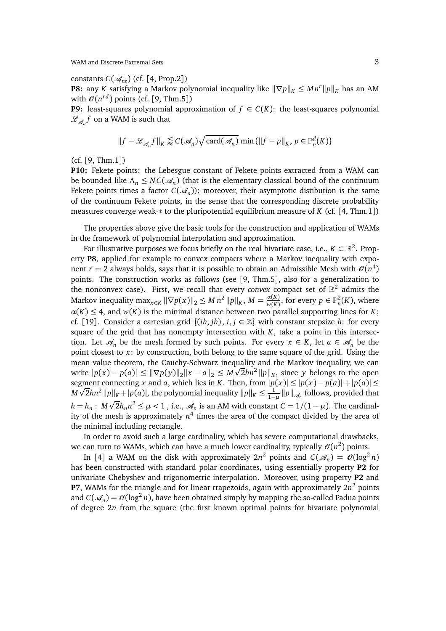constants  $C(\mathcal{A}_{ns})$  (cf. [4, Prop.2])

**P8:** any *K* satisfying a Markov polynomial inequality like  $\|\nabla p\|_K \leq Mn^r \|p\|_K$  has an AM with  $\mathcal{O}(n^{rd})$  points (cf. [9, Thm.5])

**P9:** least-squares polynomial approximation of  $f \in C(K)$ : the least-squares polynomial  $\mathscr{L}_{\mathscr{A}_n}f$  on a WAM is such that

$$
||f - \mathcal{L}_{\mathcal{A}_n} f||_K \lessapprox C(\mathcal{A}_n) \sqrt{\text{card}(\mathcal{A}_n)} \min \{||f - p||_K, p \in \mathbb{P}_n^d(K)\}
$$

(cf. [9, Thm.1])

**P10:** Fekete points: the Lebesgue constant of Fekete points extracted from a WAM can be bounded like  $\Lambda_n \le NC(\mathcal{A}_n)$  (that is the elementary classical bound of the continuum Fekete points times a factor  $C(\mathcal{A}_n)$ ); moreover, their asymptotic distibution is the same of the continuum Fekete points, in the sense that the corresponding discrete probability measures converge weak-∗ to the pluripotential equilibrium measure of *K* (cf. [4, Thm.1])

The properties above give the basic tools for the construction and application of WAMs in the framework of polynomial interpolation and approximation.

For illustrative purposes we focus briefly on the real bivariate case, i.e.,  $K \subset \mathbb{R}^2$ . Property **P8**, applied for example to convex compacts where a Markov inequality with exponent  $r = 2$  always holds, says that it is possible to obtain an Admissible Mesh with  $\mathcal{O}(n^4)$ points. The construction works as follows (see [9, Thm.5], also for a generalization to the nonconvex case). First, we recall that every *convex* compact set of  $\mathbb{R}^2$  admits the  $M$ arkov inequality  $\max_{x \in K} \|\nabla p(x)\|_2 \leq M n^2 \, \|p\|_K$ ,  $M = \frac{\alpha(K)}{w(K)}$  $\frac{\alpha(K)}{w(K)}$ , for every  $p \in \mathbb{P}^2_n(K)$ , where  $\alpha(K) \leq 4$ , and  $w(K)$  is the minimal distance between two parallel supporting lines for *K*; cf. [19]. Consider a cartesian grid  $\{(ih, jh), i, j \in \mathbb{Z}\}\$  with constant stepsize *h*: for every square of the grid that has nonempty intersection with  $K$ , take a point in this intersection. Let  $\mathcal{A}_n$  be the mesh formed by such points. For every  $x \in K$ , let  $a \in \mathcal{A}_n$  be the point closest to *x*: by construction, both belong to the same square of the grid. Using the mean value theorem, the Cauchy-Schwarz inequality and the Markov inequality, we can write  $|p(x) - p(a)| \le ||\nabla p(y)||_2 ||x - a||_2 \le M\sqrt{2hn^2 ||p||_K}$ , since *y* belongs to the open segment connecting *x* and *a*, which lies in *K*. Then, from  $|p(x)| \le |p(x) - p(a)| + |p(a)| \le$  $M\sqrt{2}hn^2 ||p||_K + |p(a)|$ , the polynomial inequality  $||p||_K \leq \frac{1}{1-\epsilon}$  $\frac{1}{1-\mu}$   $||p||_{\mathscr{A}_n}$  follows, provided that *h* = *h*<sub>*n*</sub> : *M*  $\sqrt{2}$ *h*<sub>*n*</sub> $n^2$  ≤  $\mu$  < 1, i.e.,  $\mathcal{A}_n$  is an AM with constant *C* = 1/(1 −  $\mu$ ). The cardinality of the mesh is approximately *n* 4 times the area of the compact divided by the area of the minimal including rectangle.

In order to avoid such a large cardinality, which has severe computational drawbacks, we can turn to WAMs, which can have a much lower cardinality, typically  $\mathcal{O}(n^2)$  points.

In [4] a WAM on the disk with approximately  $2n^2$  points and  $C(\mathcal{A}_n) = O(\log^2 n)$ has been constructed with standard polar coordinates, using essentially property **P2** for univariate Chebyshev and trigonometric interpolation. Moreover, using property **P2** and **P7**, WAMs for the triangle and for linear trapezoids, again with approximately 2*n* <sup>2</sup> points and  $C(\mathcal{A}_n) = \mathcal{O}(\log^2 n)$ , have been obtained simply by mapping the so-called Padua points of degree 2*n* from the square (the first known optimal points for bivariate polynomial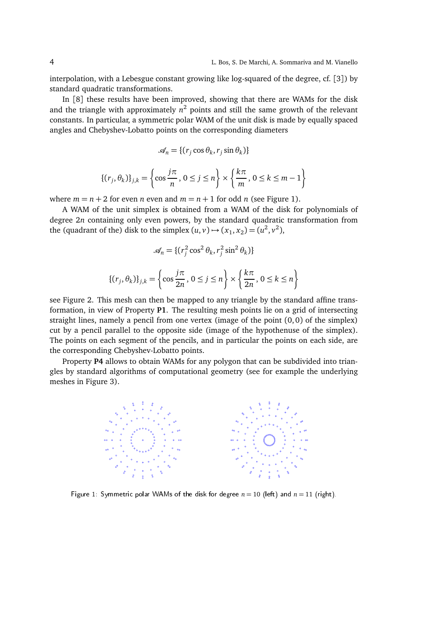interpolation, with a Lebesgue constant growing like log-squared of the degree, cf. [3]) by standard quadratic transformations.

In [8] these results have been improved, showing that there are WAMs for the disk and the triangle with approximately *n* <sup>2</sup> points and still the same growth of the relevant constants. In particular, a symmetric polar WAM of the unit disk is made by equally spaced angles and Chebyshev-Lobatto points on the corresponding diameters

$$
\mathcal{A}_n = \{ (r_j \cos \theta_k, r_j \sin \theta_k) \}
$$

$$
\{(r_j, \theta_k)\}_{j,k} = \left\{\cos\frac{j\pi}{n}, 0 \le j \le n\right\} \times \left\{\frac{k\pi}{m}, 0 \le k \le m-1\right\}
$$

where  $m = n + 2$  for even *n* even and  $m = n + 1$  for odd *n* (see Figure 1).

A WAM of the unit simplex is obtained from a WAM of the disk for polynomials of degree 2*n* containing only even powers, by the standard quadratic transformation from the (quadrant of the) disk to the simplex  $(u, v) \rightarrow (x_1, x_2) = (u^2, v^2)$ ,

$$
\mathcal{A}_n = \{ (r_j^2 \cos^2 \theta_k, r_j^2 \sin^2 \theta_k) \}
$$

$$
\{(r_j, \theta_k)\}_{j,k} = \left\{\cos\frac{j\pi}{2n}, 0 \le j \le n\right\} \times \left\{\frac{k\pi}{2n}, 0 \le k \le n\right\}
$$

see Figure 2. This mesh can then be mapped to any triangle by the standard affine transformation, in view of Property **P1**. The resulting mesh points lie on a grid of intersecting straight lines, namely a pencil from one vertex (image of the point  $(0, 0)$  of the simplex) cut by a pencil parallel to the opposite side (image of the hypothenuse of the simplex). The points on each segment of the pencils, and in particular the points on each side, are the corresponding Chebyshev-Lobatto points.

Property **P4** allows to obtain WAMs for any polygon that can be subdivided into triangles by standard algorithms of computational geometry (see for example the underlying meshes in Figure 3).



Figure 1: Symmetric polar WAMs of the disk for degree  $n = 10$  (left) and  $n = 11$  (right).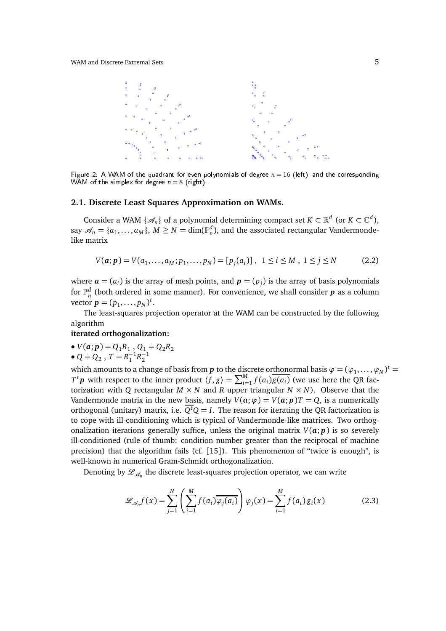

Figure 2: A WAM of the quadrant for even polynomials of degree  $n = 16$  (left), and the corresponding WAM of the simplex for degree  $n = 8$  (right).

### **2.1. Discrete Least Squares Approximation on WAMs.**

Consider a WAM { $\mathcal{A}_n$ } of a polynomial determining compact set  $K \subset \mathbb{R}^d$  (or  $K \subset \mathbb{C}^d$ ), say  $\mathscr{A}_n = \{a_1, \ldots, a_M\}$ ,  $M \geq N = \dim(\mathbb{P}_n^d)$ , and the associated rectangular Vandermondelike matrix

$$
V(a; p) = V(a_1, \dots, a_M; p_1, \dots, p_N) = [p_j(a_i)], \quad 1 \le i \le M, \quad 1 \le j \le N \tag{2.2}
$$

where  $\boldsymbol{a} = (a_i)$  is the array of mesh points, and  $\boldsymbol{p} = (p_j)$  is the array of basis polynomials for  $\mathbb{P}_n^d$  (both ordered in some manner). For convenience, we shall consider  $\bm{p}$  as a column vector  $p = (p_1, ..., p_N)^t$ .

The least-squares projection operator at the WAM can be constructed by the following algorithm

#### **iterated orthogonalization:**

•  $V(a; p) = Q_1 R_1, Q_1 = Q_2 R_2$ 

• 
$$
Q = Q_2
$$
,  $T = R_1^{-1}R_2^{-1}$ 

which amounts to a change of basis from  $p$  to the discrete orthonormal basis  $\varphi = (\varphi_1, \dots, \varphi_N)^t =$  $T^t$ *p* with respect to the inner product  $\langle f, g \rangle = \sum_{i=1}^M f(a_i) \overline{g(a_i)}$  (we use here the QR factorization with *Q* rectangular  $M \times N$  and *R* upper triangular  $N \times N$ ). Observe that the Vandermonde matrix in the new basis, namely  $V(a; \varphi) = V(a; p)T = Q$ , is a numerically orthogonal (unitary) matrix, i.e.  $Q^tQ = I$ . The reason for iterating the QR factorization is to cope with ill-conditioning which is typical of Vandermonde-like matrices. Two orthogonalization iterations generally suffice, unless the original matrix  $V(a; p)$  is so severely ill-conditioned (rule of thumb: condition number greater than the reciprocal of machine precision) that the algorithm fails (cf. [15]). This phenomenon of "twice is enough", is well-known in numerical Gram-Schmidt orthogonalization.

Denoting by  $\mathscr{L}_{\mathscr{A}_n}$  the discrete least-squares projection operator, we can write

$$
\mathcal{L}_{\mathcal{A}_n} f(x) = \sum_{j=1}^N \left( \sum_{i=1}^M f(a_i) \overline{\varphi_j(a_i)} \right) \varphi_j(x) = \sum_{i=1}^M f(a_i) g_i(x) \tag{2.3}
$$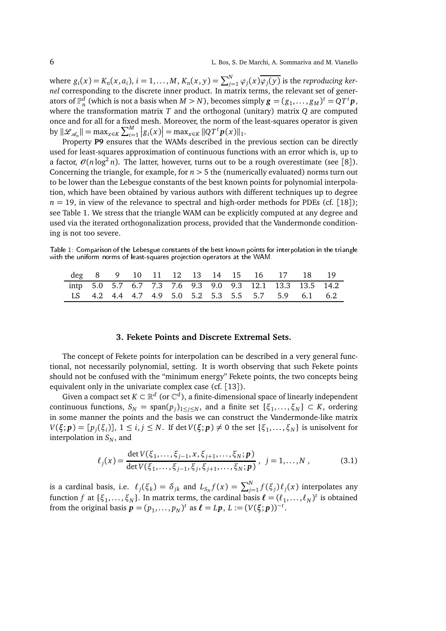where  $g_i(x) = K_n(x, a_i)$ ,  $i = 1, ..., M$ ,  $K_n(x, y) = \sum_{j=1}^{N} \varphi_j(x) \overline{\varphi_j(y)}$  is the reproducing ker*nel* corresponding to the discrete inner product. In matrix terms, the relevant set of generators of  $\mathbb{P}_n^d$  (which is not a basis when  $M > N$ ), becomes simply  $\mathbf{g} = (g_1, \ldots, g_M)^t = QT^t\mathbf{p}$ , where the transformation matrix *T* and the orthogonal (unitary) matrix *Q* are computed once and for all for a fixed mesh. Moreover, the norm of the least-squares operator is given  $\|B(x)\| \leq \sup_{x \in \mathcal{X}} \|B(x)\| = \max_{x \in \mathcal{X}} \sum_{i=1}^{M} |g_i(x)| = \max_{x \in \mathcal{X}} \|QT^t p(x)\|_1.$ 

Property P9 ensures that the WAMs described in the previous section can be directly used for least-squares approximation of continuous functions with an error which is, up to a factor,  $\mathcal{O}(n \log^2 n)$ . The latter, however, turns out to be a rough overestimate (see [8]). Concerning the triangle, for example, for  $n > 5$  the (numerically evaluated) norms turn out to be lower than the Lebesgue constants of the best known points for polynomial interpolation, which have been obtained by various authors with different techniques up to degree  $n = 19$ , in view of the relevance to spectral and high-order methods for PDEs (cf. [18]); see Table 1. We stress that the triangle WAM can be explicitly computed at any degree and used via the iterated orthogonalization process, provided that the Vandermonde conditioning is not too severe.

Table 1: Comparison of the Lebesgue constants of the best known points for interpolation in the triangle with the uniform norms of least-squares projection operators at the WAM.

|  |  |  |  |  | deg 8 9 10 11 12 13 14 15 16 17 18 19                    |  |
|--|--|--|--|--|----------------------------------------------------------|--|
|  |  |  |  |  | intp 5.0 5.7 6.7 7.3 7.6 9.3 9.0 9.3 12.1 13.3 13.5 14.2 |  |
|  |  |  |  |  | LS 4.2 4.4 4.7 4.9 5.0 5.2 5.3 5.5 5.7 5.9 6.1 6.2       |  |

### **3. Fekete Points and Discrete Extremal Sets.**

The concept of Fekete points for interpolation can be described in a very general functional, not necessarily polynomial, setting. It is worth observing that such Fekete points should not be confused with the "minimum energy" Fekete points, the two concepts being equivalent only in the univariate complex case (cf. [13]).

Given a compact set  $K \subset \mathbb{R}^d$  (or  $\mathbb{C}^d$ ), a finite-dimensional space of linearly independent continuous functions,  $S_N = \text{span}(p_j)_{1 \leq j \leq N}$ , and a finite set  $\{\xi_1, \dots, \xi_N\} \subset K$ , ordering in some manner the points and the basis we can construct the Vandermonde-like matrix  $V(\xi; p) = [p_j(\xi_i)], 1 \le i, j \le N$ . If det  $V(\xi; p) \ne 0$  the set  $\{\xi_1, \ldots, \xi_N\}$  is unisolvent for interpolation in  $S_N$ , and

$$
\ell_j(x) = \frac{\det V(\xi_1, \dots, \xi_{j-1}, x, \xi_{j+1}, \dots, \xi_N; \mathbf{p})}{\det V(\xi_1, \dots, \xi_{j-1}, \xi_j, \xi_{j+1}, \dots, \xi_N; \mathbf{p})}, \quad j = 1, \dots, N ,
$$
\n(3.1)

is a cardinal basis, i.e.  $\ell_j(\xi_k) = \delta_{jk}$  and  $L_{S_N}f(x) = \sum_{j=1}^N f(\xi_j) \ell_j(x)$  interpolates any function *f* at { $\xi_1, ..., \xi_N$ }. In matrix terms, the cardinal basis  $\ell = (\ell_1, ..., \ell_N)^t$  is obtained from the original basis  $\boldsymbol{p} = (p_1, \ldots, p_N)^t$  as  $\boldsymbol{\ell} = L\boldsymbol{p}$ ,  $L := (V(\boldsymbol{\xi}; \boldsymbol{p}))^{-t}$ .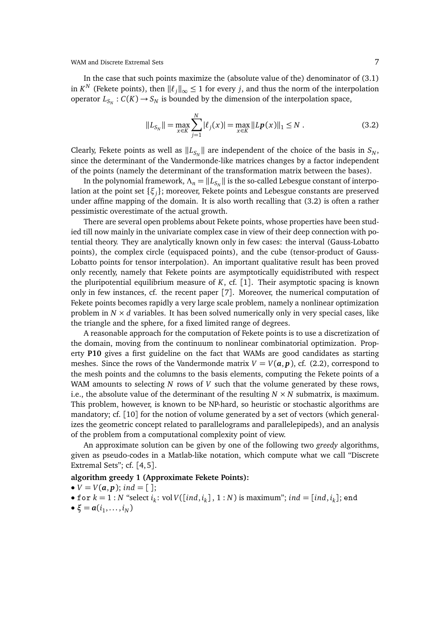In the case that such points maximize the (absolute value of the) denominator of (3.1) in *K*<sup>*N*</sup> (Fekete points), then  $\|\ell_j\|_{\infty} \leq 1$  for every *j*, and thus the norm of the interpolation operator  $L_{S_N} : C(K) \to S_N$  is bounded by the dimension of the interpolation space,

$$
||L_{S_N}|| = \max_{x \in K} \sum_{j=1}^N |\ell_j(x)| = \max_{x \in K} ||L\mathbf{p}(x)||_1 \le N.
$$
 (3.2)

Clearly, Fekete points as well as  $\|L_{S_N}\|$  are independent of the choice of the basis in  $S_N,$ since the determinant of the Vandermonde-like matrices changes by a factor independent of the points (namely the determinant of the transformation matrix between the bases).

In the polynomial framework,  $\Lambda_n = \|L_{S_N}\|$  is the so-called Lebesgue constant of interpolation at the point set {*ξ<sup>j</sup>* }; moreover, Fekete points and Lebesgue constants are preserved under affine mapping of the domain. It is also worth recalling that (3.2) is often a rather pessimistic overestimate of the actual growth.

There are several open problems about Fekete points, whose properties have been studied till now mainly in the univariate complex case in view of their deep connection with potential theory. They are analytically known only in few cases: the interval (Gauss-Lobatto points), the complex circle (equispaced points), and the cube (tensor-product of Gauss-Lobatto points for tensor interpolation). An important qualitative result has been proved only recently, namely that Fekete points are asymptotically equidistributed with respect the pluripotential equilibrium measure of  $K$ , cf. [1]. Their asymptotic spacing is known only in few instances, cf. the recent paper [7]. Moreover, the numerical computation of Fekete points becomes rapidly a very large scale problem, namely a nonlinear optimization problem in  $N \times d$  variables. It has been solved numerically only in very special cases, like the triangle and the sphere, for a fixed limited range of degrees.

A reasonable approach for the computation of Fekete points is to use a discretization of the domain, moving from the continuum to nonlinear combinatorial optimization. Property **P10** gives a first guideline on the fact that WAMs are good candidates as starting meshes. Since the rows of the Vandermonde matrix  $V = V(a, p)$ , cf. (2.2), correspond to the mesh points and the columns to the basis elements, computing the Fekete points of a WAM amounts to selecting *N* rows of *V* such that the volume generated by these rows, i.e., the absolute value of the determinant of the resulting  $N \times N$  submatrix, is maximum. This problem, however, is known to be NP-hard, so heuristic or stochastic algorithms are mandatory; cf. [10] for the notion of volume generated by a set of vectors (which generalizes the geometric concept related to parallelograms and parallelepipeds), and an analysis of the problem from a computational complexity point of view.

An approximate solution can be given by one of the following two *greedy* algorithms, given as pseudo-codes in a Matlab-like notation, which compute what we call "Discrete Extremal Sets"; cf. [4,5].

#### **algorithm greedy 1 (Approximate Fekete Points):**

$$
\bullet V=V(a,p); ind=[];
$$

- f or  $k = 1 : N$  "select  $i_k$ : vol  $V([ind, i_k], 1 : N)$  is maximum";  $ind = [ind, i_k]$ ; end
- $\bullet \xi = a(i_1,\ldots,i_N)$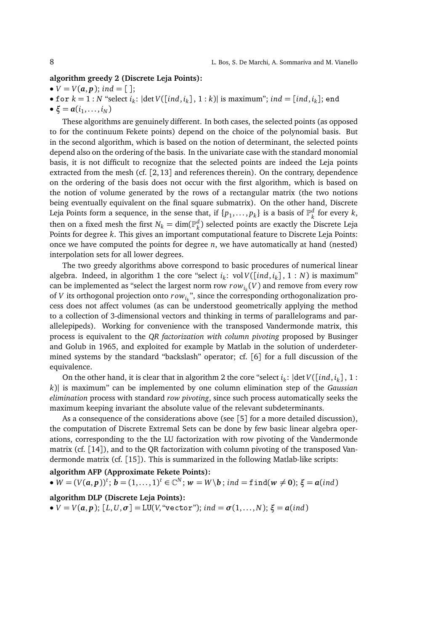#### **algorithm greedy 2 (Discrete Leja Points):**

- $V = V(a, p)$ ; *ind* = [];
- for  $k = 1 : N$  "select  $i_k: |\text{det } V([ind, i_k], 1 : k)|$  is maximum";  $ind = [ind, i_k]$ ; end
- $\xi = a(i_1, \ldots, i_N)$

These algorithms are genuinely different. In both cases, the selected points (as opposed to for the continuum Fekete points) depend on the choice of the polynomial basis. But in the second algorithm, which is based on the notion of determinant, the selected points depend also on the ordering of the basis. In the univariate case with the standard monomial basis, it is not difficult to recognize that the selected points are indeed the Leja points extracted from the mesh (cf. [2, 13] and references therein). On the contrary, dependence on the ordering of the basis does not occur with the first algorithm, which is based on the notion of volume generated by the rows of a rectangular matrix (the two notions being eventually equivalent on the final square submatrix). On the other hand, Discrete Leja Points form a sequence, in the sense that, if  $\{p_1,\ldots,p_k\}$  is a basis of  $\mathbb{P}_k^d$ *k* for every *k*, then on a fixed mesh the first  $N_k = \dim(\mathbb{P}_k^d)$ *k* ) selected points are exactly the Discrete Leja Points for degree *k*. This gives an important computational feature to Discrete Leja Points: once we have computed the points for degree *n*, we have automatically at hand (nested) interpolation sets for all lower degrees.

The two greedy algorithms above correspond to basic procedures of numerical linear algebra. Indeed, in algorithm 1 the core "select  $i_k$ : vol  $V([ind, i_k]$ , 1 : N) is maximum" can be implemented as "select the largest norm row  $\mathit{row}_{i_k}(V)$  and remove from every row of *V* its orthogonal projection onto *r owi<sup>k</sup>* ", since the corresponding orthogonalization process does not affect volumes (as can be understood geometrically applying the method to a collection of 3-dimensional vectors and thinking in terms of parallelograms and parallelepipeds). Working for convenience with the transposed Vandermonde matrix, this process is equivalent to the *QR factorization with column pivoting* proposed by Businger and Golub in 1965, and exploited for example by Matlab in the solution of underdetermined systems by the standard "backslash" operator; cf. [6] for a full discussion of the equivalence.

On the other hand, it is clear that in algorithm 2 the core "select  $i_k$ :  $|\text{det } V([\text{ind}, i_k])|, 1$ : *k*)| is maximum" can be implemented by one column elimination step of the *Gaussian elimination* process with standard *row pivoting*, since such process automatically seeks the maximum keeping invariant the absolute value of the relevant subdeterminants.

As a consequence of the considerations above (see [5] for a more detailed discussion), the computation of Discrete Extremal Sets can be done by few basic linear algebra operations, corresponding to the the LU factorization with row pivoting of the Vandermonde matrix (cf. [14]), and to the QR factorization with column pivoting of the transposed Vandermonde matrix (cf. [15]). This is summarized in the following Matlab-like scripts:

## **algorithm AFP (Approximate Fekete Points):**

 $\bullet$   $W = (V(a, p))$ <sup>t</sup>;  $b = (1, ..., 1)$ <sup>t</sup>  $\in \mathbb{C}^{N}$ ;  $w = W \backslash b$ ; *ind* = find( $w \neq 0$ );  $\xi = a$ (*ind*)

## **algorithm DLP (Discrete Leja Points):**

•  $V = V(a, p)$ ;  $[L, U, \sigma] = LU(V, "vector");$  *ind* =  $\sigma(1, \ldots, N)$ ;  $\xi = a(ind)$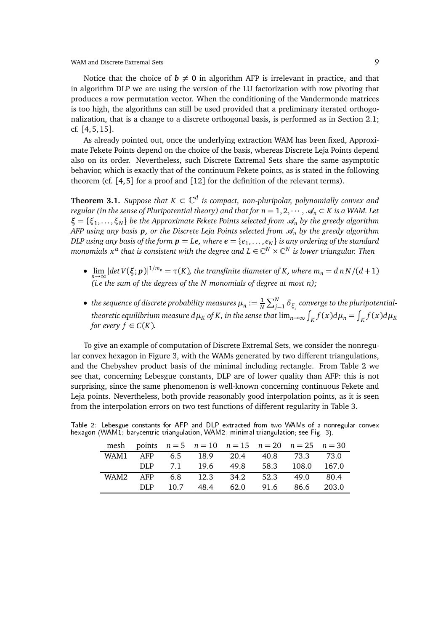Notice that the choice of  $b \neq 0$  in algorithm AFP is irrelevant in practice, and that in algorithm DLP we are using the version of the LU factorization with row pivoting that produces a row permutation vector. When the conditioning of the Vandermonde matrices is too high, the algorithms can still be used provided that a preliminary iterated orthogonalization, that is a change to a discrete orthogonal basis, is performed as in Section 2.1; cf. [4, 5, 15].

As already pointed out, once the underlying extraction WAM has been fixed, Approximate Fekete Points depend on the choice of the basis, whereas Discrete Leja Points depend also on its order. Nevertheless, such Discrete Extremal Sets share the same asymptotic behavior, which is exactly that of the continuum Fekete points, as is stated in the following theorem (cf.  $[4, 5]$  for a proof and  $[12]$  for the definition of the relevant terms).

**Theorem 3.1.** *Suppose that*  $K \subset \mathbb{C}^d$  *is compact, non-pluripolar, polynomially convex and regular (in the sense of Pluripotential theory) and that for*  $n = 1, 2, \dots, \mathcal{A}_n \subset K$  *is a WAM. Let ξ* = {ξ<sub>1</sub>,...,ξ<sub>*N*</sub>} *be the Approximate Fekete Points selected from*  $\mathcal{A}_n$  *by the greedy algorithm AFP using any basis p, or the Discrete Leja Points selected from*  $\mathcal{A}_n$  by the greedy algorithm *DLP using any basis of the form p* = *Le, where e* = {*e*<sup>1</sup> ,... , *e<sup>N</sup>* } *is any ordering of the standard*  $m$ onomials  $x^{\alpha}$  that is consistent with the degree and  $L\in \mathbb{C}^{N}\times \mathbb{C}^{N}$  is lower triangular. Then

- $\bullet$   $\lim_{n\to\infty} |det V(\xi; p)|^{1/m_n} = \tau(K)$ , the transfinite diameter of K, where  $m_n = d n N/(d+1)$ *(i.e the sum of the degrees of the N monomials of degree at most n);*
- $\bullet$  the sequence of discrete probability measures  $\mu_n := \frac{1}{N}$  $\frac{1}{N}\sum_{j=1}^{N}\delta_{\xi_{j}}$  converge to the pluripotential*theoretic equilibrium measure*  $d\mu_K$  *of K, in the sense that*  $\lim_{n\to\infty}\int_K f(x)d\mu_n = \int_K f(x)d\mu_K$ *for every*  $f \in C(K)$ *.*

To give an example of computation of Discrete Extremal Sets, we consider the nonregular convex hexagon in Figure 3, with the WAMs generated by two different triangulations, and the Chebyshev product basis of the minimal including rectangle. From Table 2 we see that, concerning Lebesgue constants, DLP are of lower quality than AFP: this is not surprising, since the same phenomenon is well-known concerning continuous Fekete and Leja points. Nevertheless, both provide reasonably good interpolation points, as it is seen from the interpolation errors on two test functions of different regularity in Table 3.

|      |      |      |  | mesh points $n = 5$ $n = 10$ $n = 15$ $n = 20$ $n = 25$ $n = 30$ |       |
|------|------|------|--|------------------------------------------------------------------|-------|
|      |      |      |  | WAM1 AFP 6.5 18.9 20.4 40.8 73.3 73.0                            |       |
|      |      |      |  | DLP 7.1 19.6 49.8 58.3 108.0 167.0                               |       |
| WAM2 |      |      |  | AFP 6.8 12.3 34.2 52.3 49.0 80.4                                 |       |
|      | DLP. | 10.7 |  | 48.4 62.0 91.6 86.6                                              | 203.0 |

Table 2: Lebesgue constants for AFP and DLP extracted from two WAMs of a nonregular convex hexagon (WAM1: barycentric triangulation, WAM2: minimal triangulation; see Fig. 3).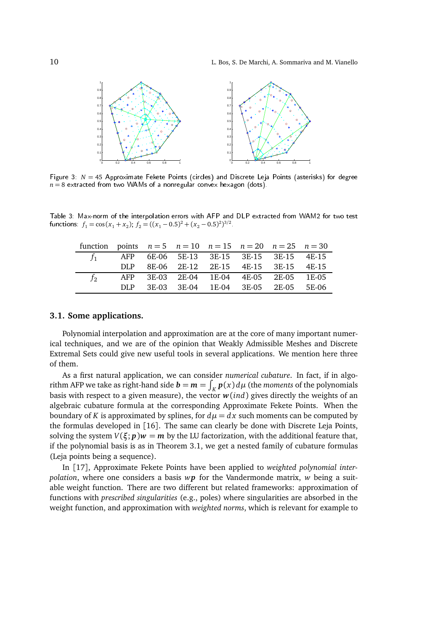

Figure 3:  $N = 45$  Approximate Fekete Points (circles) and Discrete Leja Points (asterisks) for degree  $n = 8$  extracted from two WAMs of a nonregular convex hexagon (dots).

Table 3: Max-norm of the interpolation errors with AFP and DLP extra
ted from WAM2 for two test functions:  $f_1 = \cos(x_1 + x_2)$ ,  $f_2 = ((x_1 - 0.5)^2 + (x_2 - 0.5)^2)^{3/2}$ .

| function points $n = 5$ $n = 10$ $n = 15$ $n = 20$ $n = 25$ $n = 30$ |  |                                               |  |  |
|----------------------------------------------------------------------|--|-----------------------------------------------|--|--|
|                                                                      |  | $f_1$ AFP 6E-06 5E-13 3E-15 3E-15 3E-15 4E-15 |  |  |
|                                                                      |  | DLP 8E-06 2E-12 2E-15 4E-15 3E-15 4E-15       |  |  |
| $f_{2}$                                                              |  | AFP 3E-03 2E-04 1E-04 4E-05 2E-05 1E-05       |  |  |
|                                                                      |  | DLP 3E-03 3E-04 1E-04 3E-05 2E-05 5E-06       |  |  |

### **3.1. Some applications.**

Polynomial interpolation and approximation are at the core of many important numerical techniques, and we are of the opinion that Weakly Admissible Meshes and Discrete Extremal Sets could give new useful tools in several applications. We mention here three of them.

As a first natural application, we can consider *numerical cubature*. In fact, if in algorithm AFP we take as right-hand side  $\mathbf{b} = \mathbf{m} = \int_K \mathbf{p}(x) d\mu$  (the *moments* of the polynomials basis with respect to a given measure), the vector  $w$ (*ind*) gives directly the weights of an algebraic cubature formula at the corresponding Approximate Fekete Points. When the boundary of *K* is approximated by splines, for  $d\mu = dx$  such moments can be computed by the formulas developed in [16]. The same can clearly be done with Discrete Leja Points, solving the system  $V(\xi; p)w = m$  by the LU factorization, with the additional feature that, if the polynomial basis is as in Theorem 3.1, we get a nested family of cubature formulas (Leja points being a sequence).

In [17], Approximate Fekete Points have been applied to *weighted polynomial interpolation*, where one considers a basis *wp* for the Vandermonde matrix, *w* being a suitable weight function. There are two different but related frameworks: approximation of functions with *prescribed singularities* (e.g., poles) where singularities are absorbed in the weight function, and approximation with *weighted norms*, which is relevant for example to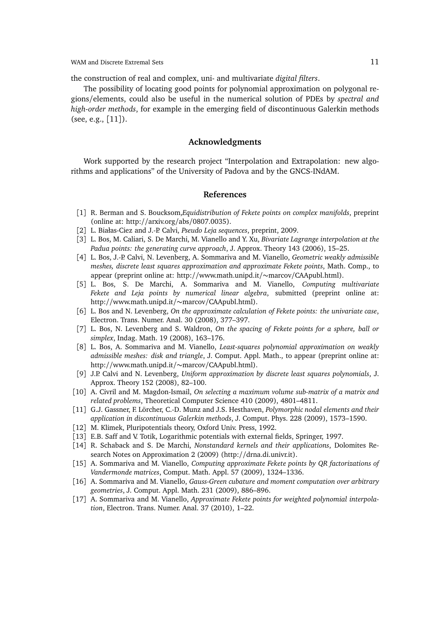the construction of real and complex, uni- and multivariate *digital filters*.

The possibility of locating good points for polynomial approximation on polygonal regions/elements, could also be useful in the numerical solution of PDEs by *spectral and high-order methods*, for example in the emerging field of discontinuous Galerkin methods (see, e.g., [11]).

#### **Acknowledgments**

Work supported by the research project "Interpolation and Extrapolation: new algorithms and applications" of the University of Padova and by the GNCS-INdAM.

#### **References**

- [1] R. Berman and S. Boucksom,*Equidistribution of Fekete points on complex manifolds*, preprint (online at: http://arxiv.org/abs/0807.0035).
- [2] L. Białas-Ciez and J.-P. Calvi, *Pseudo Leja sequences*, preprint, 2009.
- [3] L. Bos, M. Caliari, S. De Marchi, M. Vianello and Y. Xu, *Bivariate Lagrange interpolation at the Padua points: the generating curve approach*, J. Approx. Theory 143 (2006), 15–25.
- [4] L. Bos, J.-P. Calvi, N. Levenberg, A. Sommariva and M. Vianello, *Geometric weakly admissible meshes, discrete least squares approximation and approximate Fekete points*, Math. Comp., to appear (preprint online at: http://www.math.unipd.it/∼marcov/CAApubl.html).
- [5] L. Bos, S. De Marchi, A. Sommariva and M. Vianello, *Computing multivariate Fekete and Leja points by numerical linear algebra*, submitted (preprint online at: http://www.math.unipd.it/∼marcov/CAApubl.html).
- [6] L. Bos and N. Levenberg, *On the approximate calculation of Fekete points: the univariate case*, Electron. Trans. Numer. Anal. 30 (2008), 377–397.
- [7] L. Bos, N. Levenberg and S. Waldron, *On the spacing of Fekete points for a sphere, ball or simplex*, Indag. Math. 19 (2008), 163–176.
- [8] L. Bos, A. Sommariva and M. Vianello, *Least-squares polynomial approximation on weakly admissible meshes: disk and triangle*, J. Comput. Appl. Math., to appear (preprint online at: http://www.math.unipd.it/∼marcov/CAApubl.html).
- [9] J.P. Calvi and N. Levenberg, *Uniform approximation by discrete least squares polynomials*, J. Approx. Theory 152 (2008), 82–100.
- [10] A. Civril and M. Magdon-Ismail, *On selecting a maximum volume sub-matrix of a matrix and related problems*, Theoretical Computer Science 410 (2009), 4801–4811.
- [11] G.J. Gassner, F. Lörcher, C.-D. Munz and J.S. Hesthaven, *Polymorphic nodal elements and their application in discontinuous Galerkin methods*, J. Comput. Phys. 228 (2009), 1573–1590.
- [12] M. Klimek, Pluripotentials theory, Oxford Univ. Press, 1992.
- [13] E.B. Saff and V. Totik, Logarithmic potentials with external fields, Springer, 1997.
- [14] R. Schaback and S. De Marchi, *Nonstandard kernels and their applications*, Dolomites Research Notes on Approximation 2 (2009) (http://drna.di.univr.it).
- [15] A. Sommariva and M. Vianello, *Computing approximate Fekete points by QR factorizations of Vandermonde matrices*, Comput. Math. Appl. 57 (2009), 1324–1336.
- [16] A. Sommariva and M. Vianello, *Gauss-Green cubature and moment computation over arbitrary geometries*, J. Comput. Appl. Math. 231 (2009), 886–896.
- [17] A. Sommariva and M. Vianello, *Approximate Fekete points for weighted polynomial interpolation*, Electron. Trans. Numer. Anal. 37 (2010), 1–22.